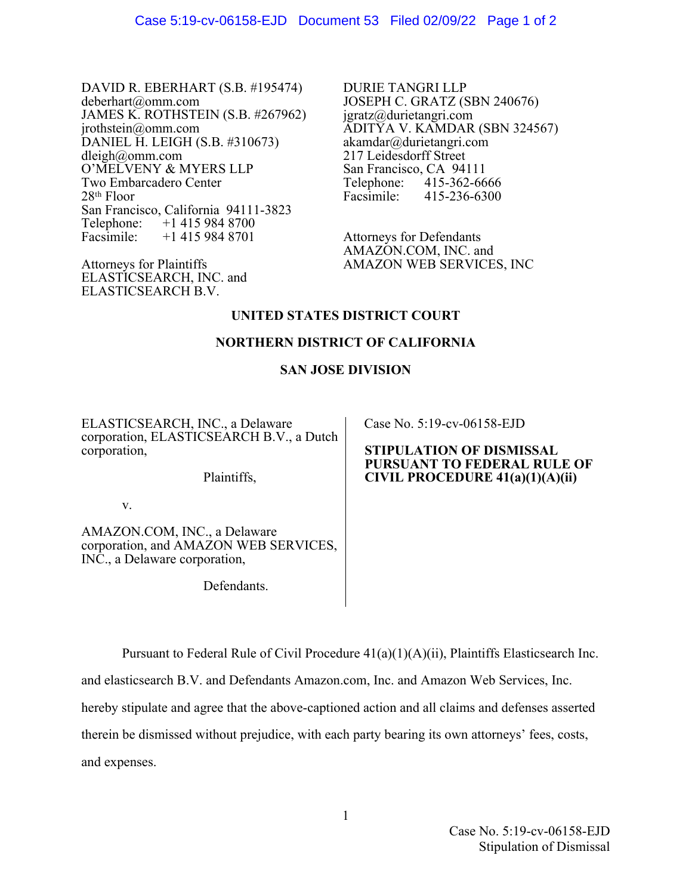DAVID R. EBERHART (S.B. #195474) deberhart@omm.com JAMES K. ROTHSTEIN (S.B. #267962) jrothstein@omm.com DANIEL H. LEIGH (S.B. #310673) dleigh@omm.com O'MELVENY & MYERS LLP Two Embarcadero Center 28<sup>th</sup> Floor San Francisco, California 94111-3823 Telephone: +1 415 984 8700 Facsimile: +1 415 984 8701

Attorneys for Plaintiffs ELASTICSEARCH, INC. and ELASTICSEARCH B.V.

DURIE TANGRI LLP JOSEPH C. GRATZ (SBN 240676) jgratz@durietangri.com ADITYA V. KAMDAR (SBN 324567) akamdar@durietangri.com 217 Leidesdorff Street San Francisco, CA 94111 Telephone: 415-362-6666 Facsimile: 415-236-6300

Attorneys for Defendants AMAZON.COM, INC. and AMAZON WEB SERVICES, INC

# **UNITED STATES DISTRICT COURT**

# **NORTHERN DISTRICT OF CALIFORNIA**

## **SAN JOSE DIVISION**

ELASTICSEARCH, INC., a Delaware corporation, ELASTICSEARCH B.V., a Dutch corporation,

Plaintiffs,

v.

AMAZON.COM, INC., a Delaware corporation, and AMAZON WEB SERVICES, INC., a Delaware corporation,

Defendants.

Case No. 5:19-cv-06158-EJD

### **STIPULATION OF DISMISSAL PURSUANT TO FEDERAL RULE OF CIVIL PROCEDURE 41(a)(1)(A)(ii)**

Pursuant to Federal Rule of Civil Procedure  $41(a)(1)(A)(ii)$ , Plaintiffs Elasticsearch Inc.

and elasticsearch B.V. and Defendants Amazon.com, Inc. and Amazon Web Services, Inc.

hereby stipulate and agree that the above-captioned action and all claims and defenses asserted

therein be dismissed without prejudice, with each party bearing its own attorneys' fees, costs,

and expenses.